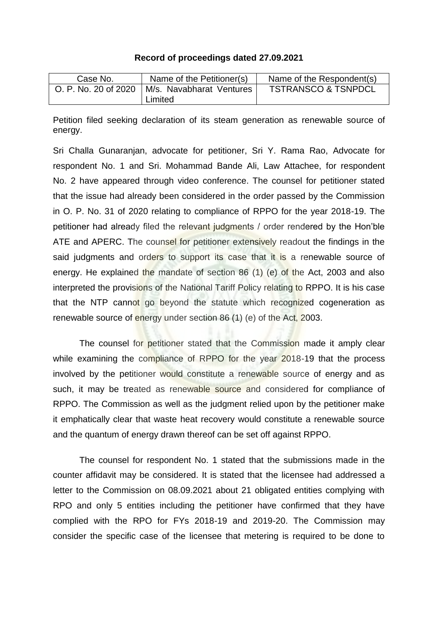## **Record of proceedings dated 27.09.2021**

| Case No.             | Name of the Petitioner(s)           | Name of the Respondent(s)      |
|----------------------|-------------------------------------|--------------------------------|
| O. P. No. 20 of 2020 | M/s. Navabharat Ventures<br>Limited | <b>TSTRANSCO &amp; TSNPDCL</b> |

Petition filed seeking declaration of its steam generation as renewable source of energy.

Sri Challa Gunaranjan, advocate for petitioner, Sri Y. Rama Rao, Advocate for respondent No. 1 and Sri. Mohammad Bande Ali, Law Attachee, for respondent No. 2 have appeared through video conference. The counsel for petitioner stated that the issue had already been considered in the order passed by the Commission in O. P. No. 31 of 2020 relating to compliance of RPPO for the year 2018-19. The petitioner had already filed the relevant judgments / order rendered by the Hon'ble ATE and APERC. The counsel for petitioner extensively readout the findings in the said judgments and orders to support its case that it is a renewable source of energy. He explained the mandate of section 86 (1) (e) of the Act, 2003 and also interpreted the provisions of the National Tariff Policy relating to RPPO. It is his case that the NTP cannot go beyond the statute which recognized cogeneration as renewable source of energy under section 86 (1) (e) of the Act, 2003.

The counsel for petitioner stated that the Commission made it amply clear while examining the compliance of RPPO for the year 2018-19 that the process involved by the petitioner would constitute a renewable source of energy and as such, it may be treated as renewable source and considered for compliance of RPPO. The Commission as well as the judgment relied upon by the petitioner make it emphatically clear that waste heat recovery would constitute a renewable source and the quantum of energy drawn thereof can be set off against RPPO.

The counsel for respondent No. 1 stated that the submissions made in the counter affidavit may be considered. It is stated that the licensee had addressed a letter to the Commission on 08.09.2021 about 21 obligated entities complying with RPO and only 5 entities including the petitioner have confirmed that they have complied with the RPO for FYs 2018-19 and 2019-20. The Commission may consider the specific case of the licensee that metering is required to be done to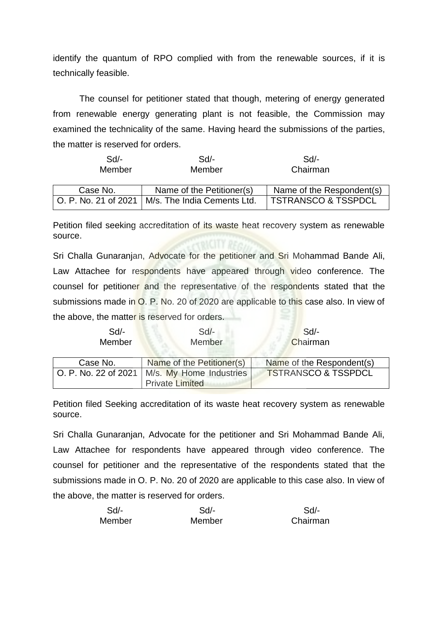identify the quantum of RPO complied with from the renewable sources, if it is technically feasible.

The counsel for petitioner stated that though, metering of energy generated from renewable energy generating plant is not feasible, the Commission may examined the technicality of the same. Having heard the submissions of the parties, the matter is reserved for orders.

| $Sd$ -   | $Sd$ -                                             | Sd                             |
|----------|----------------------------------------------------|--------------------------------|
| Member   | Member                                             | Chairman                       |
|          |                                                    |                                |
| Case No. | Name of the Petitioner(s)                          | Name of the Respondent(s)      |
|          | O. P. No. 21 of 2021   M/s. The India Cements Ltd. | <b>TSTRANSCO &amp; TSSPDCL</b> |

Petition filed seeking accreditation of its waste heat recovery system as renewable source.

Sri Challa Gunaranjan, Advocate for the petitioner and Sri Mohammad Bande Ali, Law Attachee for respondents have appeared through video conference. The counsel for petitioner and the representative of the respondents stated that the submissions made in O. P. No. 20 of 2020 are applicable to this case also. In view of the above, the matter is reserved for orders.

| $Sd$ -<br>Member     | $Sd$ -<br>Member                                  | Sd<br>Chairman                 |
|----------------------|---------------------------------------------------|--------------------------------|
| Case No.             | Name of the Petitioner(s)                         | Name of the Respondent(s)      |
| O. P. No. 22 of 2021 | M/s. My Home Industries<br><b>Private Limited</b> | <b>TSTRANSCO &amp; TSSPDCL</b> |

Petition filed Seeking accreditation of its waste heat recovery system as renewable source.

Sri Challa Gunaranjan, Advocate for the petitioner and Sri Mohammad Bande Ali, Law Attachee for respondents have appeared through video conference. The counsel for petitioner and the representative of the respondents stated that the submissions made in O. P. No. 20 of 2020 are applicable to this case also. In view of the above, the matter is reserved for orders.

| Sd     | Sd/-   | Sd/-     |
|--------|--------|----------|
| Member | Member | Chairman |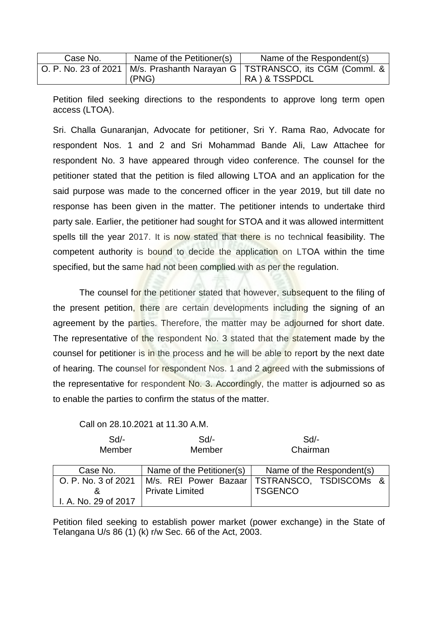| Case No. | Name of the Petitioner(s) | Name of the Respondent(s)                                                      |
|----------|---------------------------|--------------------------------------------------------------------------------|
|          |                           | O. P. No. 23 of 2021   M/s. Prashanth Narayan G   TSTRANSCO, its CGM (Comml. & |
|          | (PNG)                     | RA ) & TSSPDCL                                                                 |

Petition filed seeking directions to the respondents to approve long term open access (LTOA).

Sri. Challa Gunaranjan, Advocate for petitioner, Sri Y. Rama Rao, Advocate for respondent Nos. 1 and 2 and Sri Mohammad Bande Ali, Law Attachee for respondent No. 3 have appeared through video conference. The counsel for the petitioner stated that the petition is filed allowing LTOA and an application for the said purpose was made to the concerned officer in the year 2019, but till date no response has been given in the matter. The petitioner intends to undertake third party sale. Earlier, the petitioner had sought for STOA and it was allowed intermittent spells till the year 2017. It is now stated that there is no technical feasibility. The competent authority is bound to decide the application on LTOA within the time specified, but the same had not been complied with as per the regulation.

The counsel for the petitioner stated that however, subsequent to the filing of the present petition, there are certain developments including the signing of an agreement by the parties. Therefore, the matter may be adjourned for short date. The representative of the respondent No. 3 stated that the statement made by the counsel for petitioner is in the process and he will be able to report by the next date of hearing. The counsel for respondent Nos. 1 and 2 agreed with the submissions of the representative for respondent No. 3. Accordingly, the matter is adjourned so as to enable the parties to confirm the status of the matter.

Call on 28.10.2021 at 11.30 A.M.

| Sd<br>Member         | Sd<br>Member              | Sd<br>Chairman                                 |
|----------------------|---------------------------|------------------------------------------------|
| Case No.             | Name of the Petitioner(s) | Name of the Respondent(s)                      |
| O. P. No. 3 of 2021  |                           | M/s. REI Power Bazaar   TSTRANSCO, TSDISCOMs & |
|                      | <b>Private Limited</b>    | <b>TSGENCO</b>                                 |
| I. A. No. 29 of 2017 |                           |                                                |

Petition filed seeking to establish power market (power exchange) in the State of Telangana U/s 86 (1) (k) r/w Sec. 66 of the Act, 2003.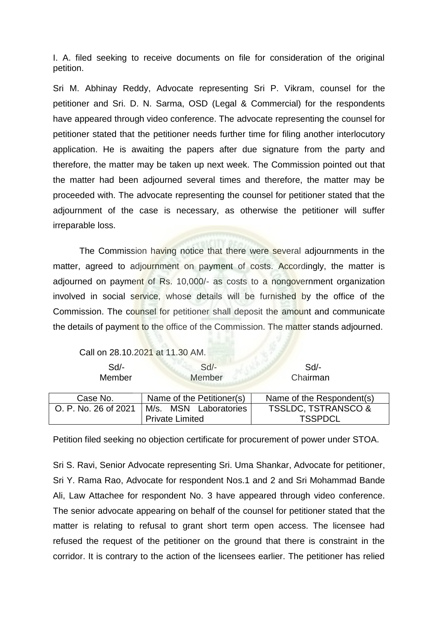I. A. filed seeking to receive documents on file for consideration of the original petition.

Sri M. Abhinay Reddy, Advocate representing Sri P. Vikram, counsel for the petitioner and Sri. D. N. Sarma, OSD (Legal & Commercial) for the respondents have appeared through video conference. The advocate representing the counsel for petitioner stated that the petitioner needs further time for filing another interlocutory application. He is awaiting the papers after due signature from the party and therefore, the matter may be taken up next week. The Commission pointed out that the matter had been adjourned several times and therefore, the matter may be proceeded with. The advocate representing the counsel for petitioner stated that the adjournment of the case is necessary, as otherwise the petitioner will suffer irreparable loss.

The Commission having notice that there were several adjournments in the matter, agreed to adjournment on payment of costs. Accordingly, the matter is adjourned on payment of Rs. 10,000/- as costs to a nongovernment organization involved in social service, whose details will be furnished by the office of the Commission. The counsel for petitioner shall deposit the amount and communicate the details of payment to the office of the Commission. The matter stands adjourned.

| $Sd$ -<br>Member     | $Sd$ -<br>Member          | Sd<br>Chairman                 |
|----------------------|---------------------------|--------------------------------|
| Case No.             | Name of the Petitioner(s) | Name of the Respondent(s)      |
| O. P. No. 26 of 2021 | M/s. MSN Laboratories     | <b>TSSLDC, TSTRANSCO &amp;</b> |
|                      | <b>Private Limited</b>    | <b>TSSPDCL</b>                 |

Petition filed seeking no objection certificate for procurement of power under STOA.

Sri S. Ravi, Senior Advocate representing Sri. Uma Shankar, Advocate for petitioner, Sri Y. Rama Rao, Advocate for respondent Nos.1 and 2 and Sri Mohammad Bande Ali, Law Attachee for respondent No. 3 have appeared through video conference. The senior advocate appearing on behalf of the counsel for petitioner stated that the matter is relating to refusal to grant short term open access. The licensee had refused the request of the petitioner on the ground that there is constraint in the corridor. It is contrary to the action of the licensees earlier. The petitioner has relied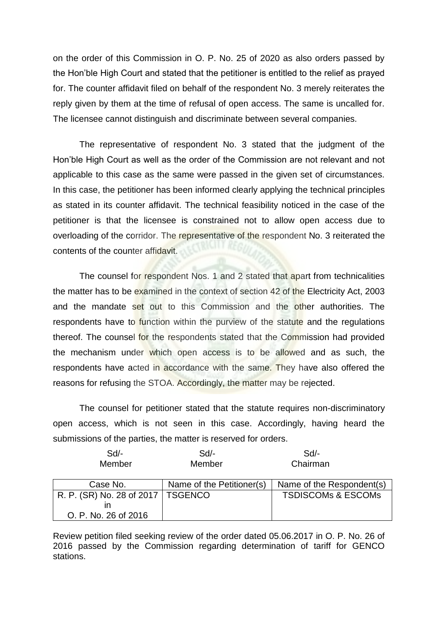on the order of this Commission in O. P. No. 25 of 2020 as also orders passed by the Hon'ble High Court and stated that the petitioner is entitled to the relief as prayed for. The counter affidavit filed on behalf of the respondent No. 3 merely reiterates the reply given by them at the time of refusal of open access. The same is uncalled for. The licensee cannot distinguish and discriminate between several companies.

The representative of respondent No. 3 stated that the judgment of the Hon'ble High Court as well as the order of the Commission are not relevant and not applicable to this case as the same were passed in the given set of circumstances. In this case, the petitioner has been informed clearly applying the technical principles as stated in its counter affidavit. The technical feasibility noticed in the case of the petitioner is that the licensee is constrained not to allow open access due to overloading of the corridor. The representative of the respondent No. 3 reiterated the contents of the counter affidavit.

The counsel for respondent Nos. 1 and 2 stated that apart from technicalities the matter has to be examined in the context of section 42 of the Electricity Act, 2003 and the mandate set out to this Commission and the other authorities. The respondents have to function within the purview of the statute and the regulations thereof. The counsel for the respondents stated that the Commission had provided the mechanism under which open access is to be allowed and as such, the respondents have acted in accordance with the same. They have also offered the reasons for refusing the STOA. Accordingly, the matter may be rejected.

The counsel for petitioner stated that the statute requires non-discriminatory open access, which is not seen in this case. Accordingly, having heard the submissions of the parties, the matter is reserved for orders.

| Sd                                  | $Sd$ -                    | Sd                            |
|-------------------------------------|---------------------------|-------------------------------|
| Member                              | Member                    | Chairman                      |
|                                     |                           |                               |
| Case No.                            | Name of the Petitioner(s) | Name of the Respondent(s)     |
| R. P. (SR) No. 28 of 2017   TSGENCO |                           | <b>TSDISCOMs &amp; ESCOMs</b> |
|                                     |                           |                               |
| O. P. No. 26 of 2016                |                           |                               |

Review petition filed seeking review of the order dated 05.06.2017 in O. P. No. 26 of 2016 passed by the Commission regarding determination of tariff for GENCO stations.